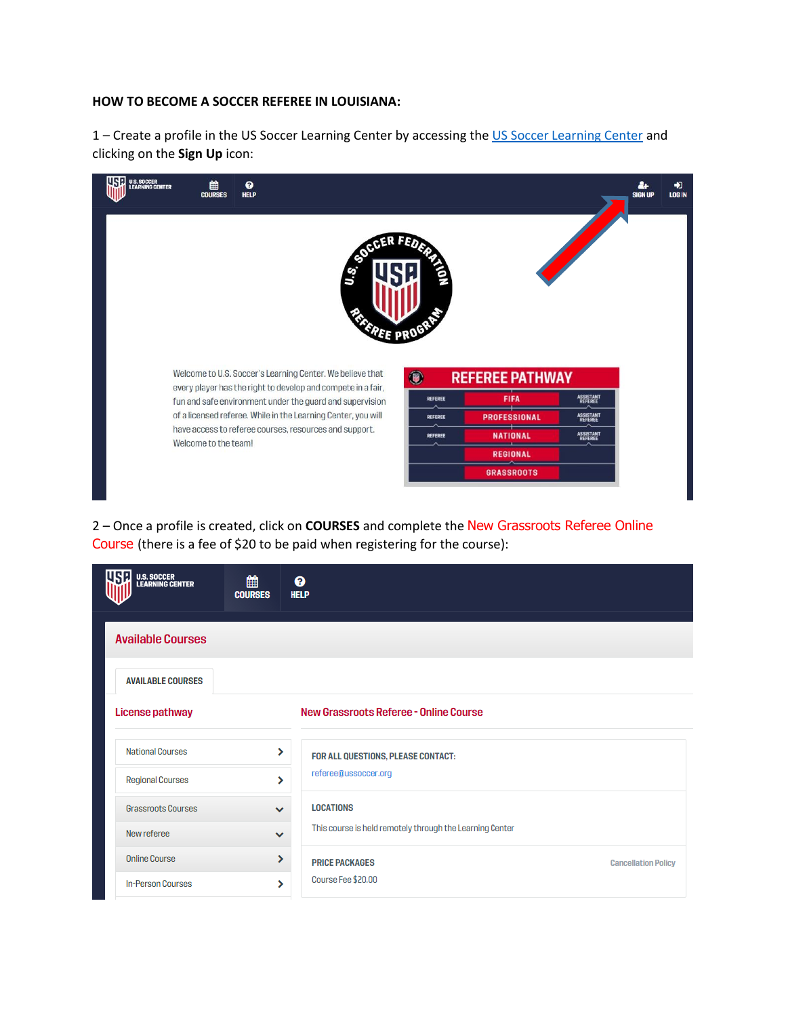## **HOW TO BECOME A SOCCER REFEREE IN LOUISIANA:**

1 – Create a profile in the US Soccer Learning Center by accessing th[e US Soccer Learning Center](https://learning.ussoccer.com/referee/) and clicking on the **Sign Up** icon:

| U.S. SOCCER<br>LEARNING CENTER<br>巤<br><b>COURSES</b>                                                                                                    | ℯ<br><b>HELP</b>                                                               |                |                     |                             | å.<br><b>SIGN UP</b> | $\bigstar$<br><b>LOG IN</b> |  |  |  |  |
|----------------------------------------------------------------------------------------------------------------------------------------------------------|--------------------------------------------------------------------------------|----------------|---------------------|-----------------------------|----------------------|-----------------------------|--|--|--|--|
| È<br>ς<br>Ε                                                                                                                                              |                                                                                |                |                     |                             |                      |                             |  |  |  |  |
| Welcome to U.S. Soccer's Learning Center. We believe that<br>●<br><b>REFEREE PATHWAY</b><br>every player has the right to develop and compete in a fair, |                                                                                |                |                     |                             |                      |                             |  |  |  |  |
|                                                                                                                                                          | fun and safe environment under the guard and supervision                       | <b>REFEREE</b> | <b>FIFA</b>         | <b>ASSISTANT</b><br>REFEREE |                      |                             |  |  |  |  |
|                                                                                                                                                          | of a licensed referee. While in the Learning Center, you will                  | <b>REFEREE</b> | <b>PROFESSIONAL</b> | ASSISTANT                   |                      |                             |  |  |  |  |
|                                                                                                                                                          | have access to referee courses, resources and support.<br>Welcome to the team! | <b>REFEREE</b> | <b>NATIONAL</b>     | ASSISTANT                   |                      |                             |  |  |  |  |
|                                                                                                                                                          |                                                                                |                | <b>REGIONAL</b>     |                             |                      |                             |  |  |  |  |
|                                                                                                                                                          |                                                                                |                | <b>GRASSROOTS</b>   |                             |                      |                             |  |  |  |  |
|                                                                                                                                                          |                                                                                |                |                     |                             |                      |                             |  |  |  |  |

2 – Once a profile is created, click on **COURSES** and complete the New Grassroots Referee Online Course (there is a fee of \$20 to be paid when registering for the course):

| <b>U.S. SOCCER<br/>LEARNING CENTER</b> | 雦<br><b>COURSES</b> | ℯ<br><b>HELP</b>                                                                                     |                            |
|----------------------------------------|---------------------|------------------------------------------------------------------------------------------------------|----------------------------|
| <b>Available Courses</b>               |                     |                                                                                                      |                            |
| <b>AVAILABLE COURSES</b>               |                     |                                                                                                      |                            |
| <b>License pathway</b>                 |                     | New Grassroots Referee - Online Course                                                               |                            |
| <b>National Courses</b>                | ⋟                   | FOR ALL QUESTIONS, PLEASE CONTACT:                                                                   |                            |
| <b>Regional Courses</b>                | ⋟                   | referee@ussoccer.org<br><b>LOCATIONS</b><br>This course is held remotely through the Learning Center |                            |
| <b>Grassroots Courses</b>              | $\checkmark$        |                                                                                                      |                            |
| New referee                            | $\checkmark$        |                                                                                                      |                            |
| <b>Online Course</b>                   | ⋟                   | <b>PRICE PACKAGES</b>                                                                                | <b>Cancellation Policy</b> |
| <b>In-Person Courses</b>               | У                   | Course Fee \$20.00                                                                                   |                            |